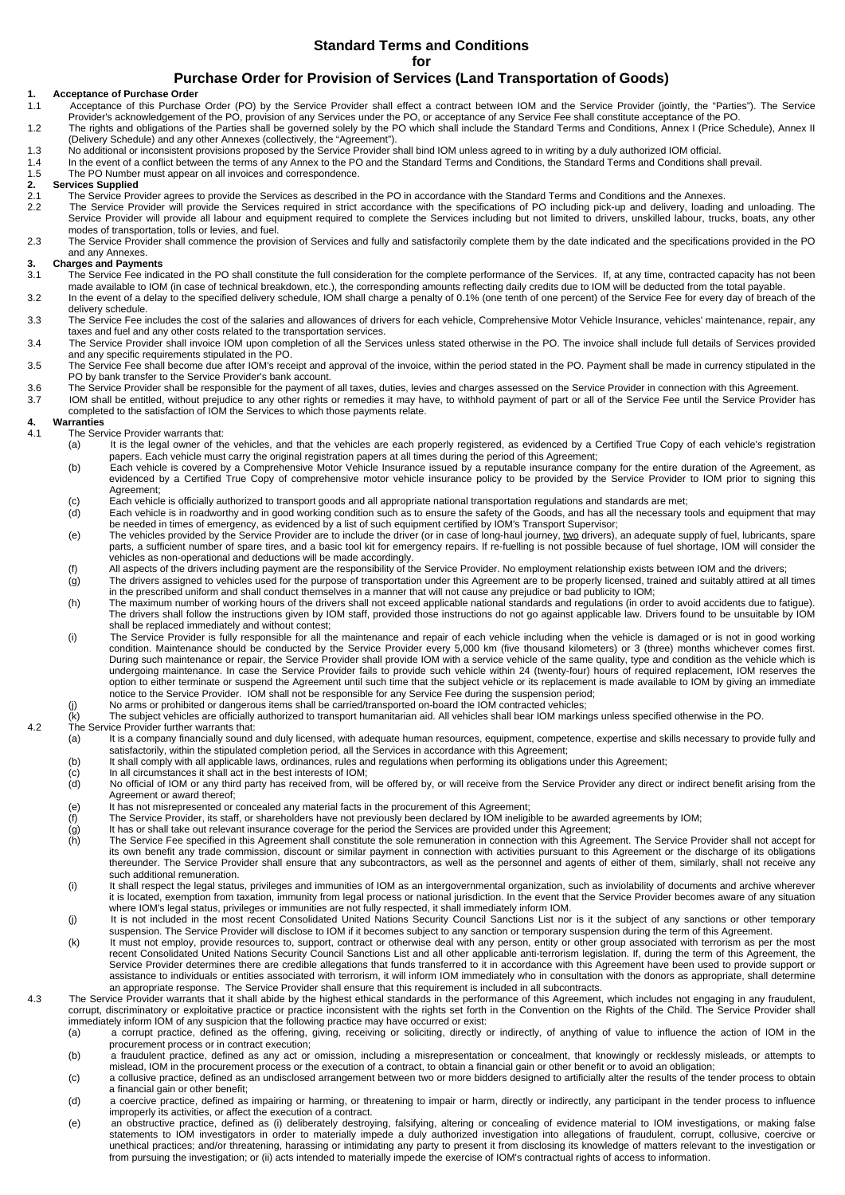### **Standard Terms and Conditions**

**for** 

### **Purchase Order for Provision of Services (Land Transportation of Goods)**

### **1. Acceptance of Purchase Order**

- 1.1 Acceptance of this Purchase Order (PO) by the Service Provider shall effect a contract between IOM and the Service Provider (jointly, the "Parties"). The Service<br>Provider's acknowledgement of the PO, provision of any S 1.2 The rights and obligations of the Parties shall be governed solely by the PO which shall include the Standard Terms and Conditions, Annex I (Price Schedule), Annex II
- (Delivery Schedule) and any other Annexes (collectively, the "Agreement").
- 1.3 No additional or inconsistent provisions proposed by the Service Provider shall bind IOM unless agreed to in writing by a duly authorized IOM official.
- 1.4 In the event of a conflict between the terms of any Annex to the PO and the Standard Terms and Conditions, the Standard Terms and Conditions shall prevail.<br>1.5 The PO Number must appear on all invoices and corresponden
- 
- **2. Services Supplied**
- 1.5 The PO Number must appear on all invoices and correspondence.<br>
2. Services Supplied<br>
2.1 The Service Provider agrees to provide the Services as described 2.1 The Service Provider agrees to provide the Services as described in the PO in accordance with the Standard Terms and Conditions and the Annexes.<br>2.2 The Service Provider will provide the Services required in strict acc The Service Provider will provide the Services required in strict accordance with the specifications of PO including pick-up and delivery, loading and unloading. The
- Service Provider will provide all labour and equipment required to complete the Services including but not limited to drivers, unskilled labour, trucks, boats, any other modes of transportation, tolls or levies, and fuel.

2.3 The Service Provider shall commence the provision of Services and fully and satisfactorily complete them by the date indicated and the specifications provided in the PO and any Annexes.

# **3. Charges and Payments**<br> **3.1** The Service Fee indic

- The Service Fee indicated in the PO shall constitute the full consideration for the complete performance of the Services. If, at any time, contracted capacity has not been made available to IOM (in case of technical breakdown, etc.), the corresponding amounts reflecting daily credits due to IOM will be deducted from the total payable.<br>3.2 In the event of a delay to the specified delivery sch
- delivery schedule. 3.3 The Service Fee includes the cost of the salaries and allowances of drivers for each vehicle, Comprehensive Motor Vehicle Insurance, vehicles' maintenance, repair, any taxes and fuel and any other costs related to the transportation services.
- 3.4 The Service Provider shall invoice IOM upon completion of all the Services unless stated otherwise in the PO. The invoice shall include full details of Services provided and any specific requirements stipulated in the PO.
- 3.5 The Service Fee shall become due after IOM's receipt and approval of the invoice, within the period stated in the PO. Payment shall be made in currency stipulated in the PO by bank transfer to the Service Provider's bank account.
- 3.6 The Service Provider shall be responsible for the payment of all taxes, duties, levies and charges assessed on the Service Provider in connection with this Agreement.
- 3.7 IOM shall be entitled, without prejudice to any other rights or remedies it may have, to withhold payment of part or all of the Service Fee until the Service Provider has completed to the satisfaction of IOM the Services to which those payments relate.

### **4. Warranties**

- The Service Provider warrants that:
	- (a) It is the legal owner of the vehicles, and that the vehicles are each properly registered, as evidenced by a Certified True Copy of each vehicle's registration papers. Each vehicle must carry the original registration papers at all times during the period of this Agreement;
	- b) Each vehicle is covered by a Comprehensive Motor Vehicle Insurance issued by a reputable insurance company for the entire duration of the Agreement, as<br>evidenced by a Certified True Copy of comprehensive motor vehicle i Agreement;
	- (c) Each vehicle is officially authorized to transport goods and all appropriate national transportation regulations and standards are met;<br>(d) Each vehicle is in roadworthy and in good working condition such as to ensure
	- Each vehicle is in roadworthy and in good working condition such as to ensure the safety of the Goods, and has all the necessary tools and equipment that may be needed in times of emergency, as evidenced by a list of such equipment certified by IOM's Transport Supervisor;
	- (e) The vehicles provided by the Service Provider are to include the driver (or in case of long-haul journey, two drivers), an adequate supply of fuel, lubricants, spare The vehicles provided by the Service Provider are to parts, a sufficient number of spare tires, and a basic tool kit for emergency repairs. If re-fuelling is not possible because of fuel shortage, IOM will consider the vehicles as non-operational and deductions will be made accordingly.<br>(f) All aspects of the drivers including payment are the responsibility of the Service Provider. No employment relationship exists between IOM and the dr
	- $(q)$  The drivers assigned to vehicles used for the purpose of transportation under this Agreement are to be properly licensed, trained and suitably attired at all times
	- in the prescribed uniform and shall conduct themselves in a manner that will not cause any prejudice or bad publicity to IOM;
	- (h) The maximum number of working hours of the drivers shall not exceed applicable national standards and regulations (in order to avoid accidents due to fatigue). The drivers shall follow the instructions given by IOM staff, provided those instructions do not go against applicable law. Drivers found to be unsuitable by IOM shall be replaced immediately and without contest;
	- (i) The Service Provider is fully responsible for all the maintenance and repair of each vehicle including when the vehicle is damaged or is not in good working condition. Maintenance should be conducted by the Service Provider every 5,000 km (five thousand kilometers) or 3 (three) months whichever comes first.<br>During such maintenance or repair, the Service Provider shall provide option to either terminate or suspend the Agreement until such time that the subject vehicle or its replacement is made available to IOM by giving an immediate notice to the Service Provider. IOM shall not be responsible for any Service Fee during the suspension period;
	- (j) No arms or prohibited or dangerous items shall be carried/transported on-board the IOM contracted vehicles;<br>(k) The subject vehicles are officially authorized to transport humanitarian aid. All vehicles shall bear IOM

#### The subject vehicles are officially authorized to transport humanitarian aid. All vehicles shall bear IOM markings unless specified otherwise in the PO. 4.2 The Service Provider further warrants that:

- (a) It is a company financially sound and duly licensed, with adequate human resources, equipment, competence, expertise and skills necessary to provide fully and<br>satisfactorily, within the stipulated completion period, al
- (b) It shall comply with all applicable laws, ordinances, rules and regulations when performing its obligations under this Agreement;
- (c) In all circumstances it shall act in the best interests of IOM;
- No official of IOM or any third party has received from, will be offered by, or will receive from the Service Provider any direct or indirect benefit arising from the Agreement or award thereof;
- (e) It has not misrepresented or concealed any material facts in the procurement of this Agreement;
- (f) The Service Provider, its staff, or shareholders have not previously been declared by IOM ineligible to be awarded agreements by IOM;
- $\overline{q}$  It has or shall take out relevant insurance coverage for the period the Services are provided under this Agreement;<br>(h) The Service Fee specified in this Agreement shall constitute the sole remuneration in connec
- The Service Fee specified in this Agreement shall constitute the sole remuneration in connection with this Agreement. The Service Provider shall not accept for its own benefit any trade commission, discount or similar payment in connection with activities pursuant to this Agreement or the discharge of its obligations thereunder. The Service Provider shall ensure that any subcontractors, as well as the personnel and agents of either of them, similarly, shall not receive any such additional remuneration.
- i) It shall respect the legal status, privileges and immunities of IOM as an intergovernmental organization, such as inviolability of documents and archive wherever<br>it is located, exemption from taxation, immunity from leg where IOM's legal status, privileges or immunities are not fully respected, it shall immediately inform IOM.
- (j) It is not included in the most recent Consolidated United Nations Security Council Sanctions List nor is it the subject of any sanctions or other temporary suspension. The Service Provider will disclose to IOM if it becomes subject to any sanction or temporary suspension during the term of this Agreement.
- (k) It must not employ, provide resources to, support, contract or otherwise deal with any person, entity or other group associated with terrorism as per the most recent Consolidated United Nations Security Council Sanctions List and all other applicable anti-terrorism legislation. If, during the term of this Agreement, the<br>Service Provider determines there are credible allegations assistance to individuals or entities associated with terrorism, it will inform IOM immediately who in consultation with the donors as appropriate, shall determine an appropriate response. The Service Provider shall ensure that this requirement is included in all subcontracts.
- 4.3 The Service Provider warrants that it shall abide by the highest ethical standards in the performance of this Agreement, which includes not engaging in any fraudulent, corrupt, discriminatory or exploitative practice or practice inconsistent with the rights set forth in the Convention on the Rights of the Child. The Service Provider shall<br>immediately inform IOM of any suspicion that the
	- (a) a corrupt practice, defined as the offering, giving, receiving or soliciting, directly or indirectly, of anything of value to influence the action of IOM in the procurement process or in contract execution;
	- (b) a fraudulent practice, defined as any act or omission, including a misrepresentation or concealment, that knowingly or recklessly misleads, or attempts to mislead, IOM in the procurement process or the execution of a contract, to obtain a financial gain or other benefit or to avoid an obligation;
	- (c) a collusive practice, defined as an undisclosed arrangement between two or more bidders designed to artificially alter the results of the tender process to obtain a financial gain or other benefit;
	- (d) a coercive practice, defined as impairing or harming, or threatening to impair or harm, directly or indirectly, any participant in the tender process to influence<br>improperly its activities, or affect the execution of a
	- (e) an obstructive practice, defined as (i) deliberately destroying, falsifying, altering or concealing of evidence material to IOM investigations, or making false statements to IOM investigators in order to materially impede a duly authorized investigation into allegations of fraudulent, corrupt, collusive, coercive or unethical practices; and/or threatening, harassing or intimidating any party to present it from disclosing its knowledge of matters relevant to the investigation or from pursuing the investigation; or (ii) acts intended to materially impede the exercise of IOM's contractual rights of access to information.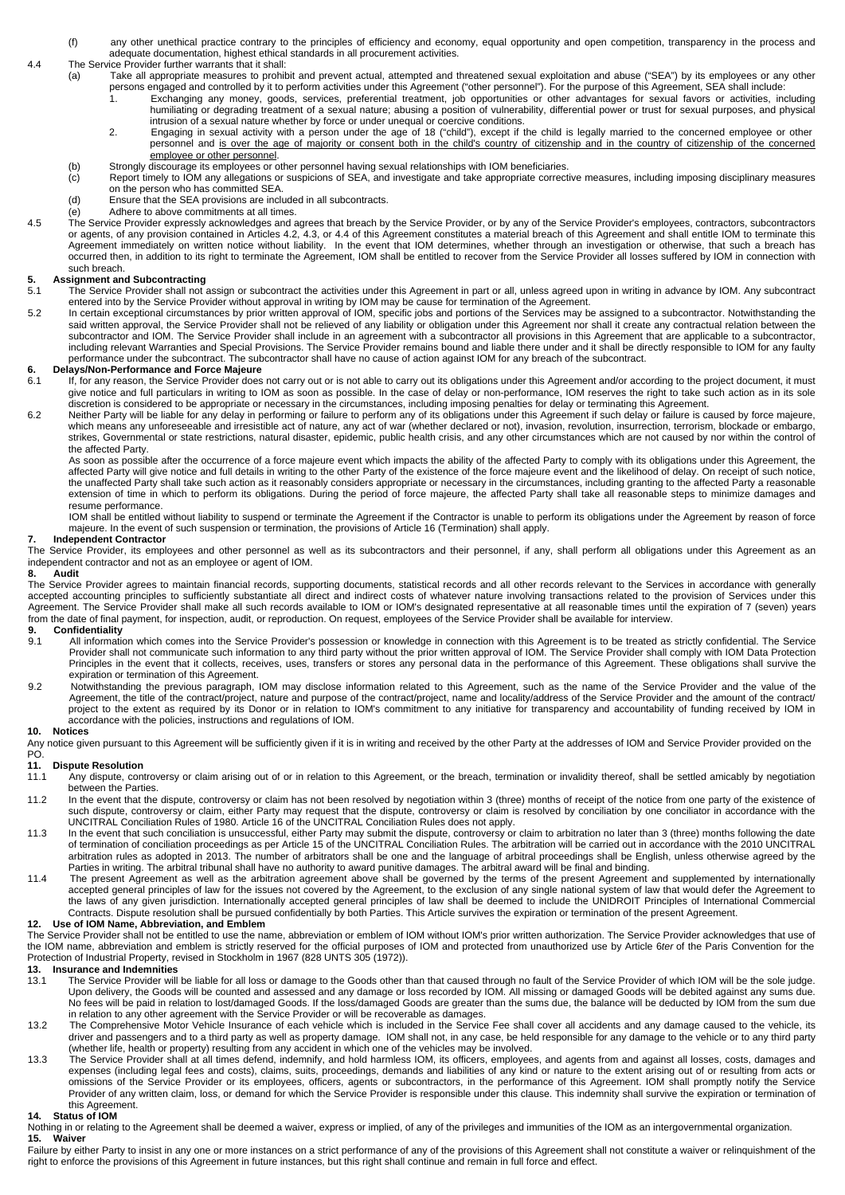- (f) any other unethical practice contrary to the principles of efficiency and economy, equal opportunity and open competition, transparency in the process and adequate documentation, highest ethical standards in all procurement activities.
- 4.4 The Service Provider further warrants that it shall:
	- (a) Take all appropriate measures to prohibit and prevent actual, attempted and threatened sexual exploitation and abuse ("SEA") by its employees or any other persons engaged and controlled by it to perform activities under this Agreement ("other personnel"). For the purpose of this Agreement, SEA shall include<br>1. Exchanging any money, goods, services, preferential treatment, jo
		- 1. Exchanging any money, goods, services, preferential treatment, job opportunities or other advantages for sexual favors or activities, including humiliating or degrading treatment of a sexual nature; abusing a position of vulnerability, differential power or trust for sexual purposes, and physical intrusion of a sexual nature whether by force or under unequal or coercive conditions.
		- 2. Engaging in sexual activity with a person under the age of 18 ("child"), except if the child is legally married to the concerned employee or other personnel and is over the age of majority or consent both in the child's country of citizenship and in the country of citizenship of the concerned employee or other personnel.
	- (b) Strongly discourage its employees or other personnel having sexual relationships with IOM beneficiaries.<br>(c) Report timely to IOM any allegations or suspicions of SEA, and investigate and take appropriate correct
	- Report timely to IOM any allegations or suspicions of SEA, and investigate and take appropriate corrective measures, including imposing disciplinary measures on the person who has committed SEA.
	- (d) Ensure that the SEA provisions are included in all subcontracts.
	- (e) Adhere to above commitments at all times.
- 4.5 The Service Provider expressly acknowledges and agrees that breach by the Service Provider, or by any of the Service Provider's employees, contractors, subcontractors or agents, of any provision contained in Articles 4.2, 4.3, or 4.4 of this Agreement constitutes a material breach of this Agreement and shall entitle IOM to terminate this Agreement immediately on written notice without liability. In the event that IOM determines, whether through an investigation or otherwise, that such a breach has occurred then, in addition to its right to terminate the Agreement, IOM shall be entitled to recover from the Service Provider all losses suffered by IOM in connection with such breach.

# **5. Assignment and Subcontracting**<br>5.1 The Service Provider shall not

- The Service Provider shall not assign or subcontract the activities under this Agreement in part or all, unless agreed upon in writing in advance by IOM. Any subcontract entered into by the Service Provider without approval in writing by IOM may be cause for termination of the Agreement.
- In certain exceptional circumstances by prior written approval of IOM, specific jobs and portions of the Services may be assigned to a subcontractor. Notwithstanding the<br>said written approval, the Service Provider shall in including relevant Warranties and Special Provisions. The Service Provider remains bound and liable there under and it shall be directly responsible to IOM for any faulty performance under the subcontract. The subcontractor shall have no cause of action against IOM for any breach of the subcontract.

- **6. Delays/Non-Performance and Force Majeure**  If, for any reason, the Service Provider does not carry out or is not able to carry out its obligations under this Agreement and/or according to the project document, it must give notice and full particulars in writing to IOM as soon as possible. In the case of delay or non-performance, IOM reserves the right to take such action as in its sole discretion is considered to be appropriate or necessary in the circumstances, including imposing penalties for delay or terminating this Agreement.
- 6.2 Neither Party will be liable for any delay in performing or failure to perform any of its obligations under this Agreement if such delay or failure is caused by force majeure, which means any unforeseeable and irresistible act of nature, any act of war (whether declared or not), invasion, revolution, insurrection, terrorism, blockade or embargo, strikes, Governmental or state restrictions, natural disaster, epidemic, public health crisis, and any other circumstances which are not caused by nor within the control of the affected Party.

As soon as possible after the occurrence of a force majeure event which impacts the ability of the affected Party to comply with its obligations under this Agreement, the affected Party will give notice and full details in writing to the other Party of the existence of the force majeure event and the likelihood of delay. On receipt of such notice,<br>the unaffected Party shall take such action extension of time in which to perform its obligations. During the period of force majeure, the affected Party shall take all reasonable steps to minimize damages and resume performance.

IOM shall be entitled without liability to suspend or terminate the Agreement if the Contractor is unable to perform its obligations under the Agreement by reason of force majeure. In the event of such suspension or termination, the provisions of Article 16 (Termination) shall apply.

#### **7. Independent Contractor**

The Service Provider, its employees and other personnel as well as its subcontractors and their personnel, if any, shall perform all obligations under this Agreement as an independent contractor and not as an employee or agent of IOM.

#### **8. Audit**

The Service Provider agrees to maintain financial records, supporting documents, statistical records and all other records relevant to the Services in accordance with generally accepted accounting principles to sufficiently substantiate all direct and indirect costs of whatever nature involving transactions related to the provision of Services under this Agreement. The Service Provider shall make all such records available to IOM or IOM's designated representative at all reasonable times until the expiration of 7 (seven) years from the date of final payment, for inspection, audit, or reproduction. On request, employees of the Service Provider shall be available for interview.<br>9. Confidentiality

# **9.1 Confidentiality**<br>**9.1 All information**

- All information which comes into the Service Provider's possession or knowledge in connection with this Agreement is to be treated as strictly confidential. The Service Provider shall not communicate such information to any third party without the prior written approval of IOM. The Service Provider shall comply with IOM Data Protection Principles in the event that it collects, receives, uses, transfers or stores any personal data in the performance of this Agreement. These obligations shall survive the expiration or termination of this Agreement.
- 9.2 Notwithstanding the previous paragraph, IOM may disclose information related to this Agreement, such as the name of the Service Provider and the value of the Agreement, the title of the contract/project, nature and purpose of the contract/project, name and locality/address of the Service Provider and the amount of the contract/project, name and locality/address of the Service P project to the extent as required by its Donor or in relation to IOM's commitment to any initiative for transparency and accountability of funding received by IOM in accordance with the policies, instructions and regulations of IOM.

#### **10. Notices**

Any notice given pursuant to this Agreement will be sufficiently given if it is in writing and received by the other Party at the addresses of IOM and Service Provider provided on the PO.

- **11. Dispute Resolution** 11.1 Any dispute, controversy or claim arising out of or in relation to this Agreement, or the breach, termination or invalidity thereof, shall be settled amicably by negotiation between the Parties.
- 11.2 In the event that the dispute, controversy or claim has not been resolved by negotiation within 3 (three) months of receipt of the notice from one party of the existence of such dispute, controversy or claim, either Party may request that the dispute, controversy or claim is resolved by conciliation by one conciliator in accordance with the UNCITRAL Conciliation Rules of 1980. Article 16 of the UNCITRAL Conciliation Rules does not apply.
- 11.3 In the event that such conciliation is unsuccessful, either Party may submit the dispute, controversy or claim to arbitration no later than 3 (three) months following the date of termination of conciliation proceedings as per Article 15 of the UNCITRAL Conciliation Rules. The arbitration will be carried out in accordance with the 2010 UNCITRAL arbitration rules as adopted in 2013. The number of arbitrators shall be one and the language of arbitral proceedings shall be English, unless otherwise agreed by the Parties in writing. The arbitral tribunal shall have no authority to award punitive damages. The arbitral award will be final and binding.
- 11.4 The present Agreement as well as the arbitration agreement above shall be governed by the terms of the present Agreement and supplemented by internationally accepted general principles of law for the issues not covered by the Agreement, to the exclusion of any single national system of law that would defer the Agreement to<br>the laws of any given jurisdiction. Internationally ac Contracts. Dispute resolution shall be pursued confidentially by both Parties. This Article survives the expiration or termination of the present Agreement.

### **12. Use of IOM Name, Abbreviation, and Emblem**

The Service Provider shall not be entitled to use the name, abbreviation or emblem of IOM without IOM's prior written authorization. The Service Provider acknowledges that use of the IOM name, abbreviation and emblem is strictly reserved for the official purposes of IOM and protected from unauthorized use by Article 6ter of the Paris Convention for the Protection of Industrial Property, revised in Stockholm in 1967 (828 UNTS 305 (1972)).

**13. Insurance and Indemnities** 

- 13.1 The Service Provider will be liable for all loss or damage to the Goods other than that caused through no fault of the Service Provider of which IOM will be the sole judge. Upon delivery, the Goods will be counted and assessed and any damage or loss recorded by IOM. All missing or damaged Goods will be debited against any sums due. No fees will be paid in relation to lost/damaged Goods. If the loss/damaged Goods are greater than the sums due, the balance will be deducted by IOM from the sum due in relation to any other agreement with the Service Provider or will be recoverable as damages.
- 13.2 The Comprehensive Motor Vehicle Insurance of each vehicle which is included in the Service Fee shall cover all accidents and any damage caused to the vehicle, its driver and passengers and to a third party as well as property damage. IOM shall not, in any case, be held responsible for any damage to the vehicle or to any third party<br>(whether life, health or property) resulting from a
- 13.3 The Service Provider shall at all times defend, indemnify, and hold harmless IOM, its officers, employees, and agents from and against all losses, costs, damages and expenses (including legal fees and costs), claims, suits, proceedings, demands and liabilities of any kind or nature to the extent arising out of or resulting from acts or omissions of the Service Provider or its employees, officers, agents or subcontractors, in the performance of this Agreement. IOM shall promptly notify the Service Provider of any written claim, loss, or demand for which the Service Provider is responsible under this clause. This indemnity shall survive the expiration or termination of this Agreement.

### **14. Status of IOM**

Nothing in or relating to the Agreement shall be deemed a waiver, express or implied, of any of the privileges and immunities of the IOM as an intergovernmental organization. **15. Waiver**

Failure by either Party to insist in any one or more instances on a strict performance of any of the provisions of this Agreement shall not constitute a waiver or relinquishment of the right to enforce the provisions of this Agreement in future instances, but this right shall continue and remain in full force and effect.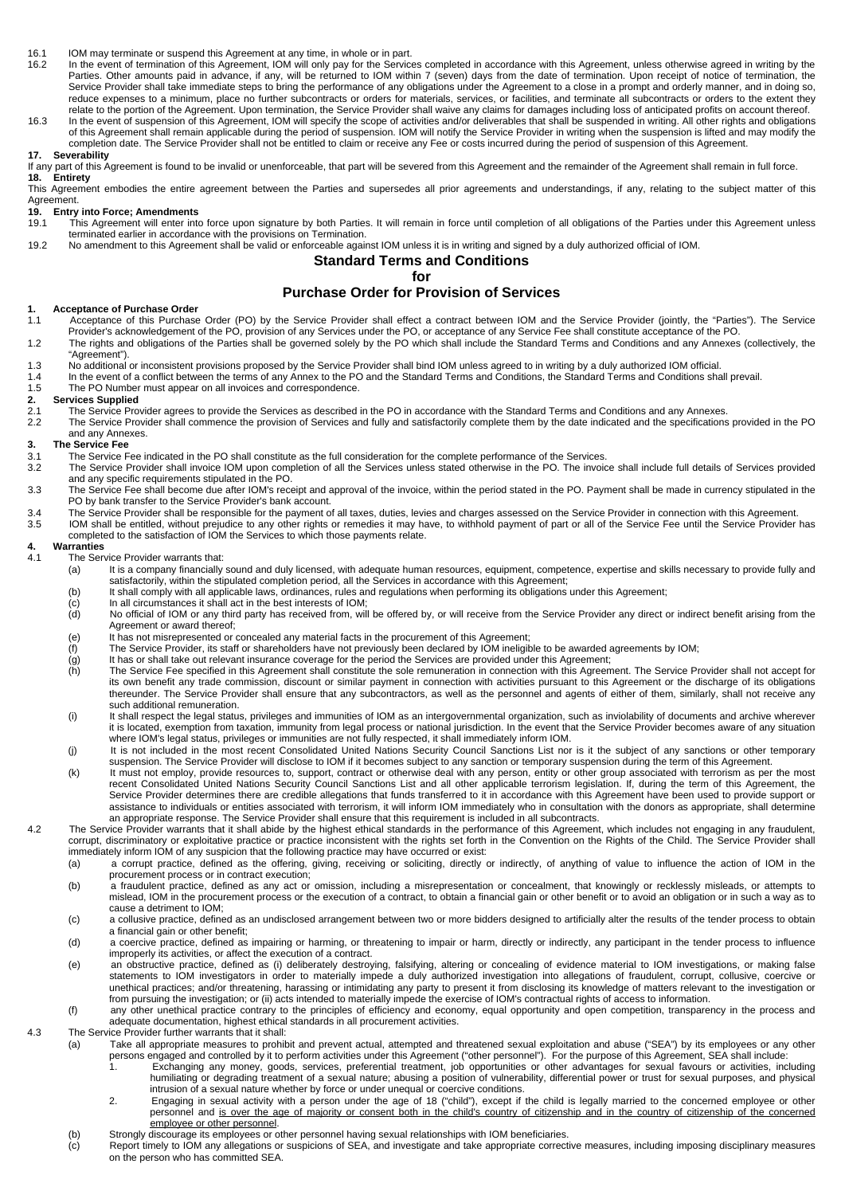- 16.1 IOM may terminate or suspend this Agreement at any time, in whole or in part.<br>16.2 In the event of termination of this Agreement. IOM will only pay for the Service
- In the event of termination of this Agreement, IOM will only pay for the Services completed in accordance with this Agreement, unless otherwise agreed in writing by the Parties. Other amounts paid in advance, if any, will be returned to IOM within 7 (seven) days from the date of termination. Upon receipt of notice of termination, the Service Provider shall take immediate steps to bring the performance of any obligations under the Agreement to a close in a prompt and orderly manner, and in doing so, reduce expenses to a minimum, place no further subcontracts or orders for materials, services, or facilities, and terminate all subcontracts or orders to the extent they
- .relate to the portion of the Agreement. Upon termination, the Service Provider shall waive any claims for damages including loss of anticipated profits on account thereof.<br>16.3 In the event of suspension of this Agreement of this Agreement shall remain applicable during the period of suspension. IOM will notify the Service Provider in writing when the suspension is lifted and may modify the completion date. The Service Provider shall not be entitled to claim or receive any Fee or costs incurred during the period of suspension of this Agreement.

### **17. Severability**

If any part of this Agreement is found to be invalid or unenforceable, that part will be severed from this Agreement and the remainder of the Agreement shall remain in full force. **18. Entirety**

This Agreement embodies the entire agreement between the Parties and supersedes all prior agreements and understandings, if any, relating to the subject matter of this Agreement.<br>19. Entry

# **19. Entry into Force; Amendments**

- This Agreement will enter into force upon signature by both Parties. It will remain in force until completion of all obligations of the Parties under this Agreement unless terminated earlier in accordance with the provisions on Termination.
- 19.2 No amendment to this Agreement shall be valid or enforceable against IOM unless it is in writing and signed by a duly authorized official of IOM.

### **Standard Terms and Conditions**

**for** 

### **Purchase Order for Provision of Services**

#### **1. Acceptance of Purchase Order**

- 1.1 Acceptance of this Purchase Order (PO) by the Service Provider shall effect a contract between IOM and the Service Provider (jointly, the "Parties"). The Service<br>Provider's acknowledgement of the PO, provision of any S
- 1.2 The rights and obligations of the Parties shall be governed solely by the PO which shall include the Standard Terms and Conditions and any Annexes (collectively, the "Agreement").
- 1.3 No additional or inconsistent provisions proposed by the Service Provider shall bind IOM unless agreed to in writing by a duly authorized IOM official.
- 1.4 In the event of a conflict between the terms of any Annex to the PO and the Standard Terms and Conditions, the Standard Terms and Conditions shall prevail.
- 1.5 The PO Number must appear on all invoices and correspondence.

### **2. Services Supplied**

- 2.1 The Service Provider agrees to provide the Services as described in the PO in accordance with the Standard Terms and Conditions and any Annexes.<br>2.2 The Service Provider shall commence the provision of Services and ful
	- 2.2 The Service Provider shall commence the provision of Services and fully and satisfactorily complete them by the date indicated and the specifications provided in the PO and any Annexes.

## **3.** The Service Fee<br> **3.1** The Service F

- The Service Fee indicated in the PO shall constitute as the full consideration for the complete performance of the Services.
- 3.2 The Service Provider shall invoice IOM upon completion of all the Services unless stated otherwise in the PO. The invoice shall include full details of Services provided and any specific requirements stipulated in the PO.
- 3.3 The Service Fee shall become due after IOM's receipt and approval of the invoice, within the period stated in the PO. Payment shall be made in currency stipulated in the PO by bank transfer to the Service Provider's bank account.
- 3.4 The Service Provider shall be responsible for the payment of all taxes, duties, levies and charges assessed on the Service Provider in connection with this Agreement.<br>3.5 IOM shall be entitled without prejudice to any
- 3.5 IOM shall be entitled, without prejudice to any other rights or remedies it may have, to withhold payment of part or all of the Service Fee until the Service Provider has<br>completed to the satisfaction of IOM the Servic

## **4. Warranties**

- The Service Provider warrants that:<br>(a) It is a company financially
	- It is a company financially sound and duly licensed, with adequate human resources, equipment, competence, expertise and skills necessary to provide fully and satisfactorily, within the stipulated completion period, all the Services in accordance with this Agreement;
	- (b) It shall comply with all applicable laws, ordinances, rules and regulations when performing its obligations under this Agreement;<br>(c) In all circumstances it shall act in the best interests of IOM;
	-
	- (d) No official of IOM or any third party has received from, will be offered by, or will receive from the Service Provider any direct or indirect benefit arising from the Agreement or award thereof;
	- (e) It has not misrepresented or concealed any material facts in the procurement of this Agreement;
	- $\frac{f(t)}{g}$  The Service Provider, its staff or shareholders have not previously been declared by IOM ineligible to be awarded agreements by IOM;<br>(g) It has or shall take out relevant insurance coverage for the period the
	- It has or shall take out relevant insurance coverage for the period the Services are provided under this Agreement;
	- (h) The Service Fee specified in this Agreement shall constitute the sole remuneration in connection with this Agreement. The Service Provider shall not accept for its own benefit any trade commission, discount or similar payment in connection with activities pursuant to this Agreement or the discharge of its obligations<br>thereunder. The Service Provider shall ensure that any subcontr such additional remuneration.
	- (i) It shall respect the legal status, privileges and immunities of IOM as an intergovernmental organization, such as inviolability of documents and archive wherever it is located, exemption from taxation, immunity from legal process or national jurisdiction. In the event that the Service Provider becomes aware of any situation where IOM's legal status, privileges or immunities are not fully respected, it shall immediately inform IOM.<br>(j) lt is not included in the most recent Consolidated United Nations Security Council Sanctions List nor is it t
	- suspension. The Service Provider will disclose to IOM if it becomes subject to any sanction or temporary suspension during the term of this Agreement.
	- (k) It must not employ, provide resources to, support, contract or otherwise deal with any person, entity or other group associated with terrorism as per the most recent Consolidated United Nations Security Council Sanctions List and all other applicable terrorism legislation. If, during the term of this Agreement, the Service Provider determines there are credible allegations that funds transferred to it in accordance with this Agreement have been used to provide support or assistance to individuals or entities associated with terrorism, it will inform IOM immediately who in consultation with the donors as appropriate, shall determine<br>an appropriate response. The Service Provider shall ensure
- 4.2 The Service Provider warrants that it shall abide by the highest ethical standards in the performance of this Agreement, which includes not engaging in any fraudulent, corrupt, discriminatory or exploitative practice or practice inconsistent with the rights set forth in the Convention on the Rights of the Child. The Service Provider shall immediately inform IOM of any suspicion that the following practice may have occurred or exist:
	- (a) a corrupt practice, defined as the offering, giving, receiving or soliciting, directly or indirectly, of anything of value to influence the action of IOM in the procurement process or in contract execution;
	- (b) a fraudulent practice, defined as any act or omission, including a misrepresentation or concealment, that knowingly or recklessly misleads, or attempts to<br>mislead, IOM in the procurement process or the execution of a c cause a detriment to IOM;
	- (c) a collusive practice, defined as an undisclosed arrangement between two or more bidders designed to artificially alter the results of the tender process to obtain a financial gain or other benefit;
	- (d) a coercive practice, defined as impairing or harming, or threatening to impair or harm, directly or indirectly, any participant in the tender process to influence improperly its activities, or affect the execution of a contract.<br>(e) an obstructive practice, defined as (i) deliberately destroying, falsifying, altering or concealing of evidence material to IOM investigations, or makin
	- statements to IOM investigators in order to materially impede a duly authorized investigation into allegations of fraudulent, corrupt, collusive, coercive or unethical practices; and/or threatening, harassing or intimidating any party to present it from disclosing its knowledge of matters relevant to the investigation or from pursuing the investigation; or (ii) acts intended to materially impede the exercise of IOM's contractual rights of access to information.
	- (f) any other unethical practice contrary to the principles of efficiency and economy, equal opportunity and open competition, transparency in the process and adequate documentation, highest ethical standards in all procurement activities.
- 4.3 The Service Provider further warrants that it shall:
	- (a) Take all appropriate measures to prohibit and prevent actual, attempted and threatened sexual exploitation and abuse ("SEA") by its employees or any other persons engaged and controlled by it to perform activities under this Agreement ("other personnel"). For the purpose of this Agreement, SEA shall include:
		- 1. Exchanging any money, goods, services, preferential treatment, job opportunities or other advantages for sexual favours or activities, including humiliating or degrading treatment of a sexual nature; abusing a position of vulnerability, differential power or trust for sexual purposes, and physical intrusion of a sexual nature whether by force or under unequal or coercive conditions.
		- 2. Engaging in sexual activity with a person under the age of 18 ("child"), except if the child is legally married to the concerned employee or other<br>personnel and is over the age of majority or consent both in the child's employee or other personnel.
		-
	- (b) Strongly discourage its employees or other personnel having sexual relationships with IOM beneficiaries.<br>(c) Report timely to IOM any allegations or suspicions of SEA, and investigate and take appropriate correct Report timely to IOM any allegations or suspicions of SEA, and investigate and take appropriate corrective measures, including imposing disciplinary measures on the person who has committed SEA.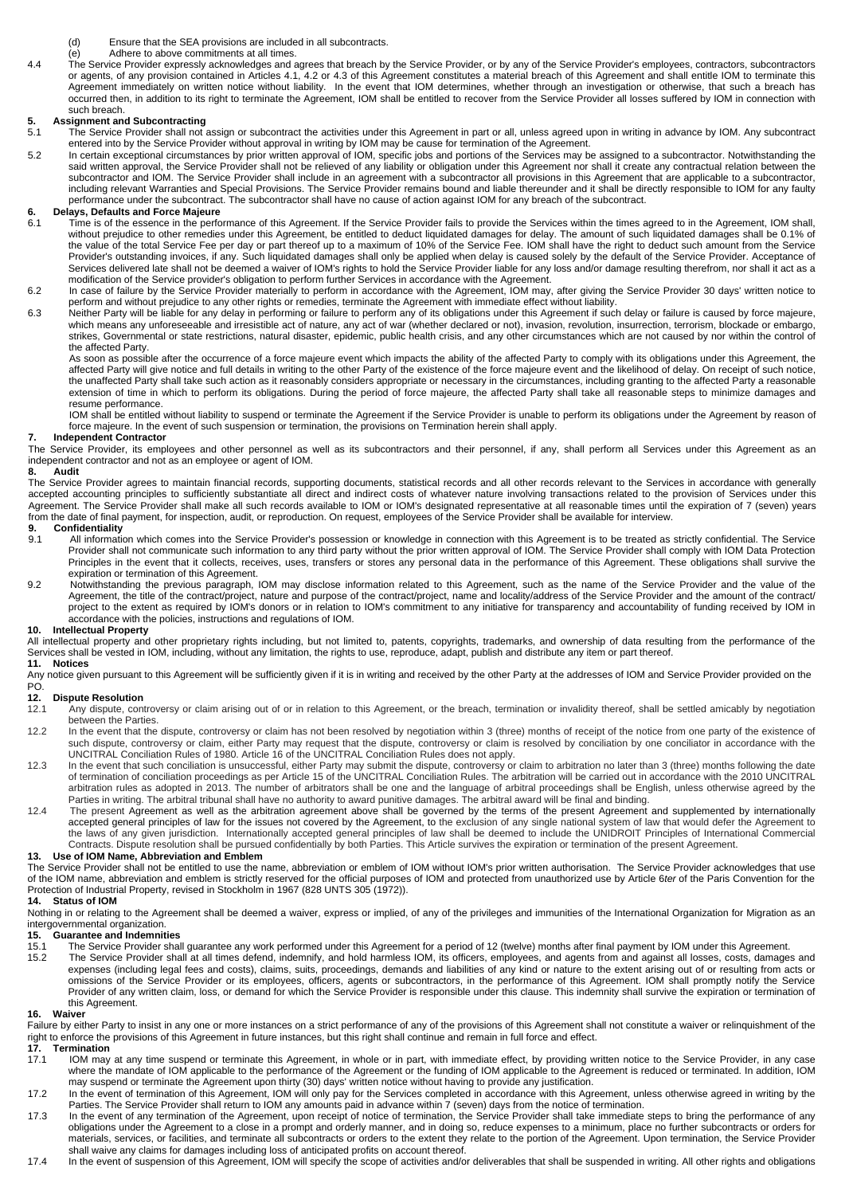- (d) Ensure that the SEA provisions are included in all subcontracts.
- (e) Adhere to above commitments at all times.
- 4.4 The Service Provider expressly acknowledges and agrees that breach by the Service Provider, or by any of the Service Provider's employees, contractors, subcontractors or agents, of any provision contained in Articles 4.1, 4.2 or 4.3 of this Agreement constitutes a material breach of this Agreement and shall entitle IOM to terminate this Agreement immediately on written notice without liability. In the event that IOM determines, whether through an investigation or otherwise, that such a breach has occurred then, in addition to its right to terminate the Agreement, IOM shall be entitled to recover from the Service Provider all losses suffered by IOM in connection with such breach.

# **5.** Assignment and Subcontracting<br>
5.1 The Service Provider shall not

- The Service Provider shall not assign or subcontract the activities under this Agreement in part or all, unless agreed upon in writing in advance by IOM. Any subcontract entered into by the Service Provider without approval in writing by IOM may be cause for termination of the Agreement.
- 5.2 In certain exceptional circumstances by prior written approval of IOM, specific jobs and portions of the Services may be assigned to a subcontractor. Notwithstanding the said written approval, the Service Provider shall not be relieved of any liability or obligation under this Agreement nor shall it create any contractual relation between the subcontractor and IOM. The Service Provider shall include in an agreement with a subcontractor all provisions in this Agreement that are applicable to a subcontractor, including relevant Warranties and Special Provisions. The Service Provider remains bound and liable thereunder and it shall be directly responsible to IOM for any faulty performance under the subcontract. The subcontractor shall have no cause of action against IOM for any breach of the subcontract.

# **6. Delays, Defaults and Force Majeure**

- Time is of the essence in the performance of this Agreement. If the Service Provider fails to provide the Services within the times agreed to in the Agreement, IOM shall, without prejudice to other remedies under this Agreement, be entitled to deduct liquidated damages for delay. The amount of such liquidated damages shall be 0.1% of the value of the total Service Fee per day or part thereof up to a maximum of 10% of the Service Fee. IOM shall have the right to deduct such amount from the Service Provider's outstanding invoices, if any. Such liquidated damages shall only be applied when delay is caused solely by the default of the Service Provider. Acceptance of<br>Services delivered late shall not be deemed a waiver modification of the Service provider's obligation to perform further Services in accordance with the Agreement.
- 6.2 In case of failure by the Service Provider materially to perform in accordance with the Agreement, IOM may, after giving the Service Provider 30 days' written notice to perform and without prejudice to any other rights or remedies, terminate the Agreement with immediate effect without liability.
- 6.3 Neither Party will be liable for any delay in performing or failure to perform any of its obligations under this Agreement if such delay or failure is caused by force majeure, which means any unforeseeable and irresistible act of nature, any act of war (whether declared or not), invasion, revolution, insurrection, terrorism, blockade or embargo strikes, Governmental or state restrictions, natural disaster, epidemic, public health crisis, and any other circumstances which are not caused by nor within the control of the affected Party.

As soon as possible after the occurrence of a force majeure event which impacts the ability of the affected Party to comply with its obligations under this Agreement, the affected Party will give notice and full details in writing to the other Party of the existence of the force majeure event and the likelihood of delay. On receipt of such notice, the unaffected Party shall take such action as it reasonably considers appropriate or necessary in the circumstances, including granting to the affected Party a reasonable extension of time in which to perform its obligations. During the period of force majeure, the affected Party shall take all reasonable steps to minimize damages and resume performance.

IOM shall be entitled without liability to suspend or terminate the Agreement if the Service Provider is unable to perform its obligations under the Agreement by reason of force majeure. In the event of such suspension or termination, the provisions on Termination herein shall apply.

#### **7. Independent Contractor**

The Service Provider, its employees and other personnel as well as its subcontractors and their personnel, if any, shall perform all Services under this Agreement as an independent contractor and not as an employee or agent of IOM.

#### **8. Audit**

The Service Provider agrees to maintain financial records, supporting documents, statistical records and all other records relevant to the Services in accordance with generally<br>accepted accounting principles to sufficientl Agreement. The Service Provider shall make all such records available to IOM or IOM's designated representative at all reasonable times until the expiration of 7 (seven) years from the date of final payment, for inspection, audit, or reproduction. On request, employees of the Service Provider shall be available for interview.

# **9. Confidentiality**<br>9.1 **All information**

- All information which comes into the Service Provider's possession or knowledge in connection with this Agreement is to be treated as strictly confidential. The Service Provider shall not communicate such information to any third party without the prior written approval of IOM. The Service Provider shall comply with IOM Data Protection Principles in the event that it collects, receives, uses, transfers or stores any personal data in the performance of this Agreement. These obligations shall survive the expiration or termination of this Agreement.
- 9.2 Notwithstanding the previous paragraph, IOM may disclose information related to this Agreement, such as the name of the Service Provider and the value of the Agreement, the title of the contract/project, nature and purpose of the contract/project, name and locality/address of the Service Provider and the amount of the contract/ project to the extent as required by IOM's donors or in relation to IOM's commitment to any initiative for transparency and accountability of funding received by IOM in accordance with the policies, instructions and regulations of IOM.

### **10. Intellectual Property**

All intellectual property and other proprietary rights including, but not limited to, patents, copyrights, trademarks, and ownership of data resulting from the performance of the Services shall be vested in IOM, including, without any limitation, the rights to use, reproduce, adapt, publish and distribute any item or part thereof.<br>11. Notices

**11. Notices**<br>Any notice given pursuant to this Agreement will be sufficiently given if it is in writing and received by the other Party at the addresses of IOM and Service Provider provided on the<br>PO.

# **12. Dispute Resolution**<br>12.1 Any dispute, con

- 12.1 Any dispute, controversy or claim arising out of or in relation to this Agreement, or the breach, termination or invalidity thereof, shall be settled amicably by negotiation between the Parties.
- 12.2 In the event that the dispute, controversy or claim has not been resolved by negotiation within 3 (three) months of receipt of the notice from one party of the existence of such dispute, controversy or claim, either Party may request that the dispute, controversy or claim is resolved by conciliation by one conciliator in accordance with the<br>UNCITRAL Conciliation Rules of 1980. Article 16 of t
- 12.3 In the event that such conciliation is unsuccessful, either Party may submit the dispute, controversy or claim to arbitration no later than 3 (three) months following the date of termination of conciliation proceedings as per Article 15 of the UNCITRAL Conciliation Rules. The arbitration will be carried out in accordance with the 2010 UNCITRAL arbitration rules as adopted in 2013. The number of arbitrators shall be one and the language of arbitral proceedings shall be English, unless otherwise agreed by the Parties in writing. The arbitral tribunal shall have no authority to award punitive damages. The arbitral award will be final and binding.
- 12.4 The present Agreement as well as the arbitration agreement above shall be governed by the terms of the present Agreement and supplemented by internationally accepted general principles of law for the issues not covered by the Agreement, to the exclusion of any single national system of law that would defer the Agreement to the laws of any given jurisdiction. Internationally accepted general principles of law shall be deemed to include the UNIDROIT Principles of International Commercial Contracts. Dispute resolution shall be pursued confidentially by both Parties. This Article survives the expiration or termination of the present Agreement.

### **13. Use of IOM Name, Abbreviation and Emblem**

The Service Provider shall not be entitled to use the name, abbreviation or emblem of IOM without IOM's prior written authorisation. The Service Provider acknowledges that use of the IOM name, abbreviation and emblem is strictly reserved for the official purposes of IOM and protected from unauthorized use by Article 6ter of the Paris Convention for the Protection of Industrial Property, revised in Stockholm in 1967 (828 UNTS 305 (1972)).<br>14 Status of IOM

### **Status of IOM**

Nothing in or relating to the Agreement shall be deemed a waiver, express or implied, of any of the privileges and immunities of the International Organization for Migration as an intergovernmental organization.

# **15. Guarantee and Indemnities**

- The Service Provider shall guarantee any work performed under this Agreement for a period of 12 (twelve) months after final payment by IOM under this Agreement.
- The Service Provider shall at all times defend, indemnify, and hold harmless IOM, its officers, employees, and agents from and against all losses, costs, damages and costs), claims, suits, proceedings, demands and liabilit omissions of the Service Provider or its employees, officers, agents or subcontractors, in the performance of this Agreement. IOM shall promptly notify the Service Provider of any written claim, loss, or demand for which the Service Provider is responsible under this clause. This indemnity shall survive the expiration or termination of this Agreement.

#### **16. Waiver**

Failure by either Party to insist in any one or more instances on a strict performance of any of the provisions of this Agreement shall not constitute a waiver or relinquishment of the right to enforce the provisions of this Agreement in future instances, but this right shall continue and remain in full force and effect.

- **17. Termination**  IOM may at any time suspend or terminate this Agreement, in whole or in part, with immediate effect, by providing written notice to the Service Provider, in any case where the mandate of IOM applicable to the performance of the Agreement or the funding of IOM applicable to the Agreement is reduced or terminated. In addition, IOM may suspend or terminate the Agreement upon thirty (30) days' written notice without having to provide any justification.
- 17.2 In the event of termination of this Agreement, IOM will only pay for the Services completed in accordance with this Agreement, unless otherwise agreed in writing by the Parties. The Service Provider shall return to IOM any amounts paid in advance within 7 (seven) days from the notice of termination.
- In the event of any termination of the Agreement, upon receipt of notice of termination, the Service Provider shall take immediate steps to bring the performance of any<br>17.3 In the event of any termination of the Agreement obligations under the Agreement to a close in a prompt and orderly manner, and in doing so, reduce expenses to a minimum, place no further subcontracts or orders for materials, services, or facilities, and terminate all subcontracts or orders to the extent they relate to the portion of the Agreement. Upon termination, the Service Provider shall waive any claims for damages including loss of anticipated profits on account thereof.
- 17.4 In the event of suspension of this Agreement, IOM will specify the scope of activities and/or deliverables that shall be suspended in writing. All other rights and obligations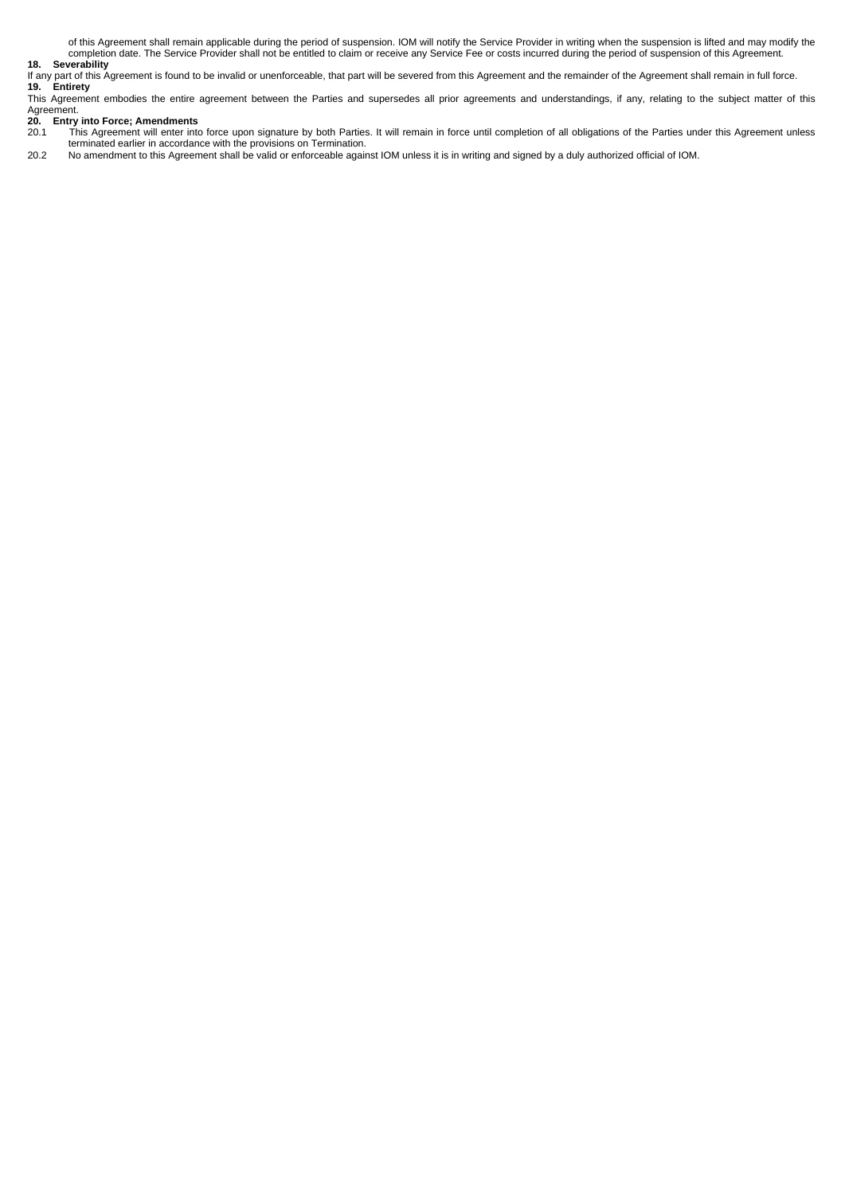of this Agreement shall remain applicable during the period of suspension. IOM will notify the Service Provider in writing when the suspension is lifted and may modify the<br>completion date. The Service Provider shall not be

### **18. Severability**

If any part of this Agreement is found to be invalid or unenforceable, that part will be severed from this Agreement and the remainder of the Agreement shall remain in full force. **19. Entirety**

This Agreement embodies the entire agreement between the Parties and supersedes all prior agreements and understandings, if any, relating to the subject matter of this

## Agreement. **20. Entry into Force; Amendments**

20.1 This Agreement will enter into force upon signature by both Parties. It will remain in force until completion of all obligations of the Parties under this Agreement unless<br>terminated earlier in accordance with the pro

20.2 No amendment to this Agreement shall be valid or enforceable against IOM unless it is in writing and signed by a duly authorized official of IOM.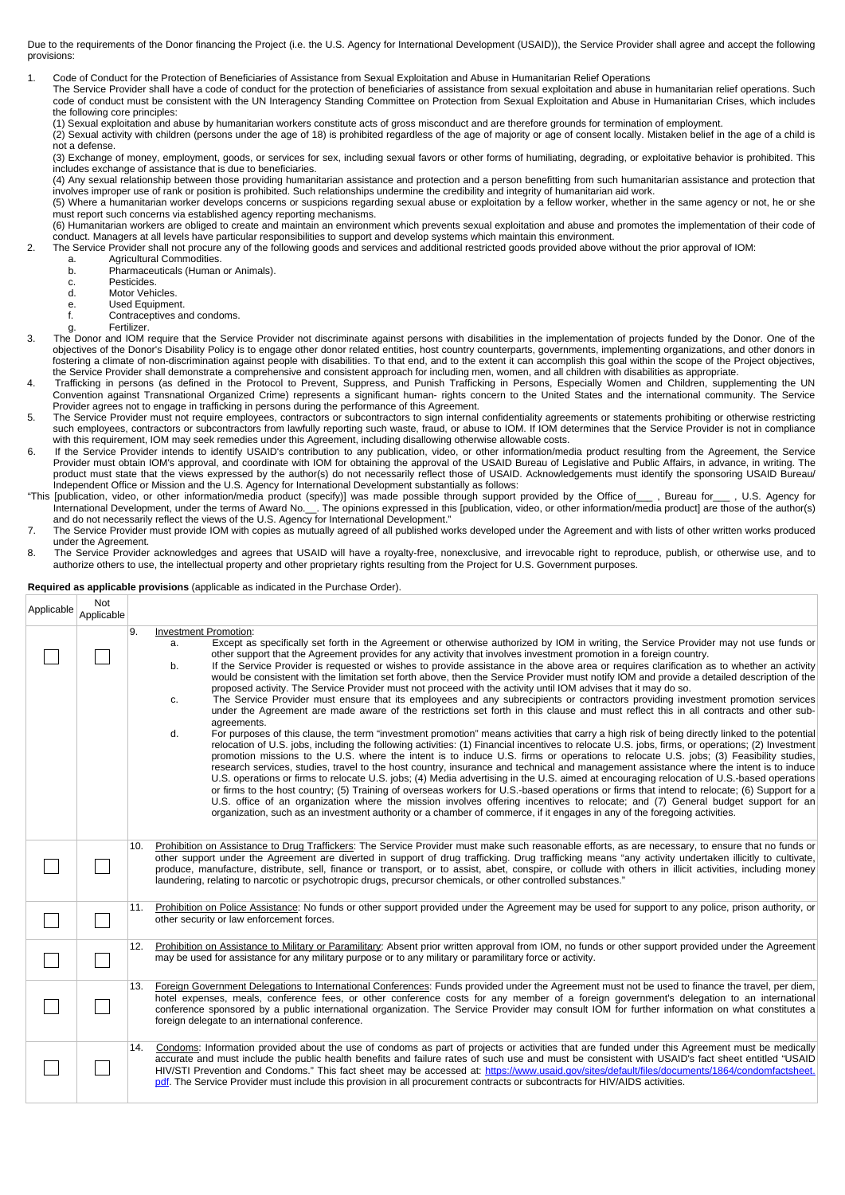Due to the requirements of the Donor financing the Project (i.e. the U.S. Agency for International Development (USAID)), the Service Provider shall agree and accept the following provisions:

1. Code of Conduct for the Protection of Beneficiaries of Assistance from Sexual Exploitation and Abuse in Humanitarian Relief Operations

The Service Provider shall have a code of conduct for the protection of beneficiaries of assistance from sexual exploitation and abuse in humanitarian relief operations. Such code of conduct must be consistent with the UN Interagency Standing Committee on Protection from Sexual Exploitation and Abuse in Humanitarian Crises, which includes the following core principles:

(1) Sexual exploitation and abuse by humanitarian workers constitute acts of gross misconduct and are therefore grounds for termination of employment.

(2) Sexual activity with children (persons under the age of 18) is prohibited regardless of the age of majority or age of consent locally. Mistaken belief in the age of a child is not a defense.

(3) Exchange of money, employment, goods, or services for sex, including sexual favors or other forms of humiliating, degrading, or exploitative behavior is prohibited. This includes exchange of assistance that is due to beneficiaries.

(4) Any sexual relationship between those providing humanitarian assistance and protection and a person benefitting from such humanitarian assistance and protection that involves improper use of rank or position is prohibited. Such relationships undermine the credibility and integrity of humanitarian aid work.

(5) Where a humanitarian worker develops concerns or suspicions regarding sexual abuse or exploitation by a fellow worker, whether in the same agency or not, he or she must report such concerns via established agency reporting mechanisms.

(6) Humanitarian workers are obliged to create and maintain an environment which prevents sexual exploitation and abuse and promotes the implementation of their code of

.conduct. Managers at all levels have particular responsibilities to support and develop systems which maintain this environment.<br>2. The Service Provider shall not procure any of the following goods and services and additi

- a. Agricultural Commodities.<br>b. Pharmaceuticals (Human
- Pharmaceuticals (Human or Animals).
- c. Pesticides.<br>d Motor Vehi Motor Vehicles
- 
- e. Used Equipment.<br>f. Contraceptives and Contraceptives and condoms.
- Fertilizer.

3. The Donor and IOM require that the Service Provider not discriminate against persons with disabilities in the implementation of projects funded by the Donor. One of the objectives of the Donor's Disability Policy is to engage other donor related entities, host country counterparts, governments, implementing organizations, and other donors in fostering a climate of non-discrimination against people with disabilities. To that end, and to the extent it can accomplish this goal within the scope of the Project objectives, the Service Provider shall demonstrate a comprehensive and consistent approach for including men, women, and all children with disabilities as appropriate.

- 4. Trafficking in persons (as defined in the Protocol to Prevent, Suppress, and Punish Trafficking in Persons, Especially Women and Children, supplementing the UN<br>Convention against Transnational Organized Crime) represent Provider agrees not to engage in trafficking in persons during the performance of this Agreement.
- 5. The Service Provider must not require employees, contractors or subcontractors to sign internal confidentiality agreements or statements prohibiting or otherwise restricting<br>such employees, contractors or subcontractors with this requirement, IOM may seek remedies under this Agreement, including disallowing otherwise allowable costs.
- 6. If the Service Provider intends to identify USAID's contribution to any publication, video, or other information/media product resulting from the Agreement, the Service<br>Provider must obtain IOM's approval, and coordinat product must state that the views expressed by the author(s) do not necessarily reflect those of USAID. Acknowledgements must identify the sponsoring USAID Bureau/ Independent Office or Mission and the U.S. Agency for International Development substantially as follows:
- "This [publication, video, or other information/media product (specify)] was made possible through support provided by the Office of\_\_\_ , Bureau for\_\_\_ , U.S. Agency for International Development, under the terms of Award No.\_\_. The opinions expressed in this [publication, video, or other information/media product] are those of the author(s)<br>and do not necessarily reflect the views of the
- 7. The Service Provider must provide IOM with copies as mutually agreed of all published works developed under the Agreement and with lists of other written works produced under the Agreement.
- 8. The Service Provider acknowledges and agrees that USAID will have a royalty-free, nonexclusive, and irrevocable right to reproduce, publish, or otherwise use, and to authorize others to use, the intellectual property and other proprietary rights resulting from the Project for U.S. Government purposes.

#### **Required as applicable provisions** (applicable as indicated in the Purchase Order).

| Applicable | Not<br>Applicable |     |                                                                                                                                                                                                                                                                                                                                                                                                                                                                                                                                                                                                                                                                                                                                                                                                                                                                                                                                                                                                                                                                                                                                                                                                                                                                                                                                                                                                                                                                                                                                                                                                                                                                                                                                                                                                                                                                                                                                                                                                                                                                                                                                                                                              |
|------------|-------------------|-----|----------------------------------------------------------------------------------------------------------------------------------------------------------------------------------------------------------------------------------------------------------------------------------------------------------------------------------------------------------------------------------------------------------------------------------------------------------------------------------------------------------------------------------------------------------------------------------------------------------------------------------------------------------------------------------------------------------------------------------------------------------------------------------------------------------------------------------------------------------------------------------------------------------------------------------------------------------------------------------------------------------------------------------------------------------------------------------------------------------------------------------------------------------------------------------------------------------------------------------------------------------------------------------------------------------------------------------------------------------------------------------------------------------------------------------------------------------------------------------------------------------------------------------------------------------------------------------------------------------------------------------------------------------------------------------------------------------------------------------------------------------------------------------------------------------------------------------------------------------------------------------------------------------------------------------------------------------------------------------------------------------------------------------------------------------------------------------------------------------------------------------------------------------------------------------------------|
|            |                   | l9. | <b>Investment Promotion:</b><br>Except as specifically set forth in the Agreement or otherwise authorized by IOM in writing, the Service Provider may not use funds or<br>а.<br>other support that the Agreement provides for any activity that involves investment promotion in a foreign country.<br>If the Service Provider is requested or wishes to provide assistance in the above area or requires clarification as to whether an activity<br>b.<br>would be consistent with the limitation set forth above, then the Service Provider must notify IOM and provide a detailed description of the<br>proposed activity. The Service Provider must not proceed with the activity until IOM advises that it may do so.<br>The Service Provider must ensure that its employees and any subrecipients or contractors providing investment promotion services<br>c.<br>under the Agreement are made aware of the restrictions set forth in this clause and must reflect this in all contracts and other sub-<br>agreements.<br>For purposes of this clause, the term "investment promotion" means activities that carry a high risk of being directly linked to the potential<br>d.<br>relocation of U.S. jobs, including the following activities: (1) Financial incentives to relocate U.S. jobs, firms, or operations; (2) Investment<br>promotion missions to the U.S. where the intent is to induce U.S. firms or operations to relocate U.S. jobs; (3) Feasibility studies,<br>research services, studies, travel to the host country, insurance and technical and management assistance where the intent is to induce<br>U.S. operations or firms to relocate U.S. jobs; (4) Media advertising in the U.S. aimed at encouraging relocation of U.S. based operations<br>or firms to the host country; (5) Training of overseas workers for U.S.-based operations or firms that intend to relocate; (6) Support for a<br>U.S. office of an organization where the mission involves offering incentives to relocate; and (7) General budget support for an<br>organization, such as an investment authority or a chamber of commerce, if it engages in any of the foregoing activities. |
|            |                   | 10. | Prohibition on Assistance to Drug Traffickers: The Service Provider must make such reasonable efforts, as are necessary, to ensure that no funds or<br>other support under the Agreement are diverted in support of drug trafficking. Drug trafficking means "any activity undertaken illicitly to cultivate,<br>produce, manufacture, distribute, sell, finance or transport, or to assist, abet, conspire, or collude with others in illicit activities, including money<br>laundering, relating to narcotic or psychotropic drugs, precursor chemicals, or other controlled substances."                                                                                                                                                                                                                                                                                                                                                                                                                                                                                                                                                                                                                                                                                                                                                                                                                                                                                                                                                                                                                                                                                                                                                                                                                                                                                                                                                                                                                                                                                                                                                                                                  |
|            |                   | 11. | Prohibition on Police Assistance: No funds or other support provided under the Agreement may be used for support to any police, prison authority, or<br>other security or law enforcement forces.                                                                                                                                                                                                                                                                                                                                                                                                                                                                                                                                                                                                                                                                                                                                                                                                                                                                                                                                                                                                                                                                                                                                                                                                                                                                                                                                                                                                                                                                                                                                                                                                                                                                                                                                                                                                                                                                                                                                                                                            |
|            |                   | 12. | Prohibition on Assistance to Military or Paramilitary: Absent prior written approval from IOM, no funds or other support provided under the Agreement<br>may be used for assistance for any military purpose or to any military or paramilitary force or activity.                                                                                                                                                                                                                                                                                                                                                                                                                                                                                                                                                                                                                                                                                                                                                                                                                                                                                                                                                                                                                                                                                                                                                                                                                                                                                                                                                                                                                                                                                                                                                                                                                                                                                                                                                                                                                                                                                                                           |
|            |                   | 13. | Foreign Government Delegations to International Conferences: Funds provided under the Agreement must not be used to finance the travel, per diem,<br>hotel expenses, meals, conference fees, or other conference costs for any member of a foreign government's delegation to an international<br>conference sponsored by a public international organization. The Service Provider may consult IOM for further information on what constitutes a<br>foreign delegate to an international conference.                                                                                                                                                                                                                                                                                                                                                                                                                                                                                                                                                                                                                                                                                                                                                                                                                                                                                                                                                                                                                                                                                                                                                                                                                                                                                                                                                                                                                                                                                                                                                                                                                                                                                        |
|            |                   | 14. | Condoms: Information provided about the use of condoms as part of projects or activities that are funded under this Agreement must be medically<br>accurate and must include the public health benefits and failure rates of such use and must be consistent with USAID's fact sheet entitled "USAID<br>HIV/STI Prevention and Condoms." This fact sheet may be accessed at: https://www.usaid.gov/sites/default/files/documents/1864/condomfactsheet.<br>pdf. The Service Provider must include this provision in all procurement contracts or subcontracts for HIV/AIDS activities.                                                                                                                                                                                                                                                                                                                                                                                                                                                                                                                                                                                                                                                                                                                                                                                                                                                                                                                                                                                                                                                                                                                                                                                                                                                                                                                                                                                                                                                                                                                                                                                                        |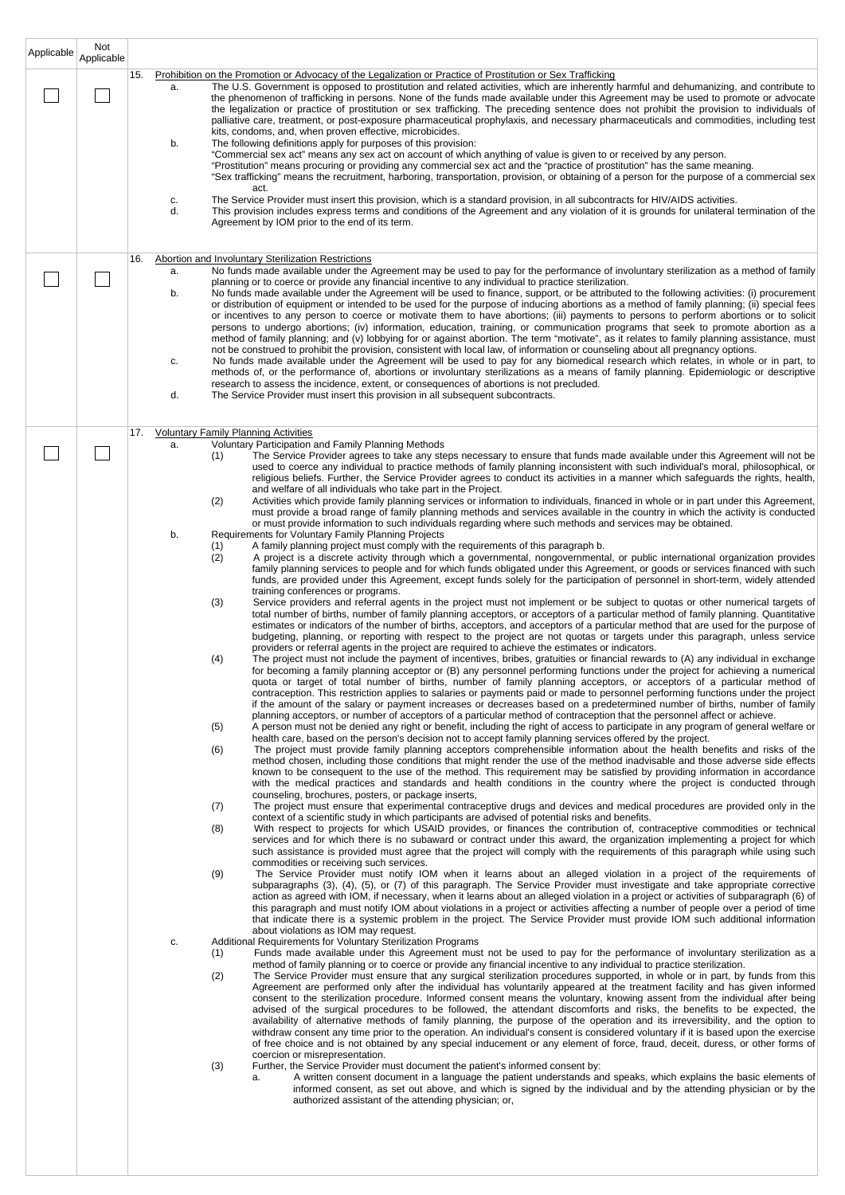| Applicable | Not<br>Applicable |                                                                                                                                                                                                                                                                                                                                                                                                                                                                                                                                                                                                                                                                                                                                                                                                                                                                                                                                                                                                                                                                                                                                                                                                                                                                                                                                                                                                                                                                                                                                     |
|------------|-------------------|-------------------------------------------------------------------------------------------------------------------------------------------------------------------------------------------------------------------------------------------------------------------------------------------------------------------------------------------------------------------------------------------------------------------------------------------------------------------------------------------------------------------------------------------------------------------------------------------------------------------------------------------------------------------------------------------------------------------------------------------------------------------------------------------------------------------------------------------------------------------------------------------------------------------------------------------------------------------------------------------------------------------------------------------------------------------------------------------------------------------------------------------------------------------------------------------------------------------------------------------------------------------------------------------------------------------------------------------------------------------------------------------------------------------------------------------------------------------------------------------------------------------------------------|
|            |                   | Prohibition on the Promotion or Advocacy of the Legalization or Practice of Prostitution or Sex Trafficking<br>15.<br>The U.S. Government is opposed to prostitution and related activities, which are inherently harmful and dehumanizing, and contribute to<br>a.<br>the phenomenon of trafficking in persons. None of the funds made available under this Agreement may be used to promote or advocate<br>the legalization or practice of prostitution or sex trafficking. The preceding sentence does not prohibit the provision to individuals of<br>palliative care, treatment, or post-exposure pharmaceutical prophylaxis, and necessary pharmaceuticals and commodities, including test<br>kits, condoms, and, when proven effective, microbicides.<br>The following definitions apply for purposes of this provision:<br>b.                                                                                                                                                                                                                                                                                                                                                                                                                                                                                                                                                                                                                                                                                               |
|            |                   | "Commercial sex act" means any sex act on account of which anything of value is given to or received by any person.<br>"Prostitution" means procuring or providing any commercial sex act and the "practice of prostitution" has the same meaning.<br>"Sex trafficking" means the recruitment, harboring, transportation, provision, or obtaining of a person for the purpose of a commercial sex<br>act.                                                                                                                                                                                                                                                                                                                                                                                                                                                                                                                                                                                                                                                                                                                                                                                                                                                                                                                                                                                                                                                                                                                           |
|            |                   | The Service Provider must insert this provision, which is a standard provision, in all subcontracts for HIV/AIDS activities.<br>c.<br>d.<br>This provision includes express terms and conditions of the Agreement and any violation of it is grounds for unilateral termination of the<br>Agreement by IOM prior to the end of its term.                                                                                                                                                                                                                                                                                                                                                                                                                                                                                                                                                                                                                                                                                                                                                                                                                                                                                                                                                                                                                                                                                                                                                                                            |
|            |                   | <b>Abortion and Involuntary Sterilization Restrictions</b><br>16.<br>No funds made available under the Agreement may be used to pay for the performance of involuntary sterilization as a method of family<br>a.                                                                                                                                                                                                                                                                                                                                                                                                                                                                                                                                                                                                                                                                                                                                                                                                                                                                                                                                                                                                                                                                                                                                                                                                                                                                                                                    |
|            |                   | planning or to coerce or provide any financial incentive to any individual to practice sterilization.<br>No funds made available under the Agreement will be used to finance, support, or be attributed to the following activities: (i) procurement<br>b.<br>or distribution of equipment or intended to be used for the purpose of inducing abortions as a method of family planning; (ii) special fees<br>or incentives to any person to coerce or motivate them to have abortions; (iii) payments to persons to perform abortions or to solicit<br>persons to undergo abortions; (iv) information, education, training, or communication programs that seek to promote abortion as a<br>method of family planning; and (v) lobbying for or against abortion. The term "motivate", as it relates to family planning assistance, must<br>not be construed to prohibit the provision, consistent with local law, of information or counseling about all pregnancy options.<br>No funds made available under the Agreement will be used to pay for any biomedical research which relates, in whole or in part, to<br>c.<br>methods of, or the performance of, abortions or involuntary sterilizations as a means of family planning. Epidemiologic or descriptive<br>research to assess the incidence, extent, or consequences of abortions is not precluded.<br>d.<br>The Service Provider must insert this provision in all subsequent subcontracts.                                                                              |
|            |                   | <b>Voluntary Family Planning Activities</b><br>17.<br>Voluntary Participation and Family Planning Methods                                                                                                                                                                                                                                                                                                                                                                                                                                                                                                                                                                                                                                                                                                                                                                                                                                                                                                                                                                                                                                                                                                                                                                                                                                                                                                                                                                                                                           |
|            |                   | a.<br>The Service Provider agrees to take any steps necessary to ensure that funds made available under this Agreement will not be<br>(1)<br>used to coerce any individual to practice methods of family planning inconsistent with such individual's moral, philosophical, or<br>religious beliefs. Further, the Service Provider agrees to conduct its activities in a manner which safeguards the rights, health,<br>and welfare of all individuals who take part in the Project.<br>(2)<br>Activities which provide family planning services or information to individuals, financed in whole or in part under this Agreement,<br>must provide a broad range of family planning methods and services available in the country in which the activity is conducted<br>or must provide information to such individuals regarding where such methods and services may be obtained.<br>Requirements for Voluntary Family Planning Projects<br>b.<br>A family planning project must comply with the requirements of this paragraph b.<br>(1)<br>(2)<br>A project is a discrete activity through which a governmental, nongovernmental, or public international organization provides                                                                                                                                                                                                                                                                                                                                                  |
|            |                   | family planning services to people and for which funds obligated under this Agreement, or goods or services financed with such<br>funds, are provided under this Agreement, except funds solely for the participation of personnel in short-term, widely attended<br>training conferences or programs.<br>(3)<br>Service providers and referral agents in the project must not implement or be subject to quotas or other numerical targets of<br>total number of births, number of family planning acceptors, or acceptors of a particular method of family planning. Quantitative<br>estimates or indicators of the number of births, acceptors, and acceptors of a particular method that are used for the purpose of<br>budgeting, planning, or reporting with respect to the project are not quotas or targets under this paragraph, unless service                                                                                                                                                                                                                                                                                                                                                                                                                                                                                                                                                                                                                                                                            |
|            |                   | providers or referral agents in the project are required to achieve the estimates or indicators.<br>The project must not include the payment of incentives, bribes, gratuities or financial rewards to (A) any individual in exchange<br>(4)<br>for becoming a family planning acceptor or (B) any personnel performing functions under the project for achieving a numerical<br>quota or target of total number of births, number of family planning acceptors, or acceptors of a particular method of<br>contraception. This restriction applies to salaries or payments paid or made to personnel performing functions under the project<br>if the amount of the salary or payment increases or decreases based on a predetermined number of births, number of family<br>planning acceptors, or number of acceptors of a particular method of contraception that the personnel affect or achieve.                                                                                                                                                                                                                                                                                                                                                                                                                                                                                                                                                                                                                                |
|            |                   | A person must not be denied any right or benefit, including the right of access to participate in any program of general welfare or<br>(5)<br>health care, based on the person's decision not to accept family planning services offered by the project.                                                                                                                                                                                                                                                                                                                                                                                                                                                                                                                                                                                                                                                                                                                                                                                                                                                                                                                                                                                                                                                                                                                                                                                                                                                                            |
|            |                   | The project must provide family planning acceptors comprehensible information about the health benefits and risks of the<br>(6)<br>method chosen, including those conditions that might render the use of the method inadvisable and those adverse side effects<br>known to be consequent to the use of the method. This requirement may be satisfied by providing information in accordance<br>with the medical practices and standards and health conditions in the country where the project is conducted through<br>counseling, brochures, posters, or package inserts,                                                                                                                                                                                                                                                                                                                                                                                                                                                                                                                                                                                                                                                                                                                                                                                                                                                                                                                                                         |
|            |                   | The project must ensure that experimental contraceptive drugs and devices and medical procedures are provided only in the<br>(7)<br>context of a scientific study in which participants are advised of potential risks and benefits.                                                                                                                                                                                                                                                                                                                                                                                                                                                                                                                                                                                                                                                                                                                                                                                                                                                                                                                                                                                                                                                                                                                                                                                                                                                                                                |
|            |                   | (8)<br>With respect to projects for which USAID provides, or finances the contribution of, contraceptive commodities or technical<br>services and for which there is no subaward or contract under this award, the organization implementing a project for which<br>such assistance is provided must agree that the project will comply with the requirements of this paragraph while using such<br>commodities or receiving such services.                                                                                                                                                                                                                                                                                                                                                                                                                                                                                                                                                                                                                                                                                                                                                                                                                                                                                                                                                                                                                                                                                         |
|            |                   | (9)<br>The Service Provider must notify IOM when it learns about an alleged violation in a project of the requirements of<br>subparagraphs (3), (4), (5), or (7) of this paragraph. The Service Provider must investigate and take appropriate corrective<br>action as agreed with IOM, if necessary, when it learns about an alleged violation in a project or activities of subparagraph (6) of<br>this paragraph and must notify IOM about violations in a project or activities affecting a number of people over a period of time<br>that indicate there is a systemic problem in the project. The Service Provider must provide IOM such additional information<br>about violations as IOM may request.                                                                                                                                                                                                                                                                                                                                                                                                                                                                                                                                                                                                                                                                                                                                                                                                                       |
|            |                   | Additional Requirements for Voluntary Sterilization Programs<br>c.<br>Funds made available under this Agreement must not be used to pay for the performance of involuntary sterilization as a<br>(1)<br>method of family planning or to coerce or provide any financial incentive to any individual to practice sterilization.<br>The Service Provider must ensure that any surgical sterilization procedures supported, in whole or in part, by funds from this<br>(2)<br>Agreement are performed only after the individual has voluntarily appeared at the treatment facility and has given informed<br>consent to the sterilization procedure. Informed consent means the voluntary, knowing assent from the individual after being<br>advised of the surgical procedures to be followed, the attendant discomforts and risks, the benefits to be expected, the<br>availability of alternative methods of family planning, the purpose of the operation and its irreversibility, and the option to<br>withdraw consent any time prior to the operation. An individual's consent is considered voluntary if it is based upon the exercise<br>of free choice and is not obtained by any special inducement or any element of force, fraud, deceit, duress, or other forms of<br>coercion or misrepresentation.<br>(3)<br>Further, the Service Provider must document the patient's informed consent by:<br>A written consent document in a language the patient understands and speaks, which explains the basic elements of<br>а. |
|            |                   | informed consent, as set out above, and which is signed by the individual and by the attending physician or by the<br>authorized assistant of the attending physician; or,                                                                                                                                                                                                                                                                                                                                                                                                                                                                                                                                                                                                                                                                                                                                                                                                                                                                                                                                                                                                                                                                                                                                                                                                                                                                                                                                                          |